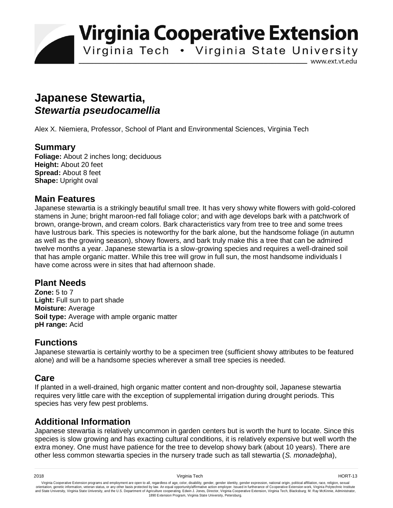**Virginia Cooperative Extension** 

Virginia Tech . Virginia State University

www.ext.vt.edu

# **Japanese Stewartia,**  *Stewartia pseudocamellia*

Alex X. Niemiera, Professor, School of Plant and Environmental Sciences, Virginia Tech

#### **Summary**

**Foliage:** About 2 inches long; deciduous **Height:** About 20 feet **Spread:** About 8 feet **Shape:** Upright oval

# **Main Features**

Japanese stewartia is a strikingly beautiful small tree. It has very showy white flowers with gold-colored stamens in June; bright maroon-red fall foliage color; and with age develops bark with a patchwork of brown, orange-brown, and cream colors. Bark characteristics vary from tree to tree and some trees have lustrous bark. This species is noteworthy for the bark alone, but the handsome foliage (in autumn as well as the growing season), showy flowers, and bark truly make this a tree that can be admired twelve months a year. Japanese stewartia is a slow-growing species and requires a well-drained soil that has ample organic matter. While this tree will grow in full sun, the most handsome individuals I have come across were in sites that had afternoon shade.

#### **Plant Needs**

**Zone:** 5 to 7 Light: Full sun to part shade **Moisture:** Average **Soil type:** Average with ample organic matter **pH range:** Acid

# **Functions**

Japanese stewartia is certainly worthy to be a specimen tree (sufficient showy attributes to be featured alone) and will be a handsome species wherever a small tree species is needed.

# **Care**

If planted in a well-drained, high organic matter content and non-droughty soil, Japanese stewartia requires very little care with the exception of supplemental irrigation during drought periods. This species has very few pest problems.

# **Additional Information**

Japanese stewartia is relatively uncommon in garden centers but is worth the hunt to locate. Since this species is slow growing and has exacting cultural conditions, it is relatively expensive but well worth the extra money. One must have patience for the tree to develop showy bark (about 10 years). There are other less common stewartia species in the nursery trade such as tall stewartia (*S. monadelpha*),

Virginia Cooperative Extension programs and employment are open to all, regardless of age, color, disability, gender, gender identity, gender expression, national origin, political affiliation, race, religion, sexual وrie 1890 Extension Program, Virginia State University, Petersburg.